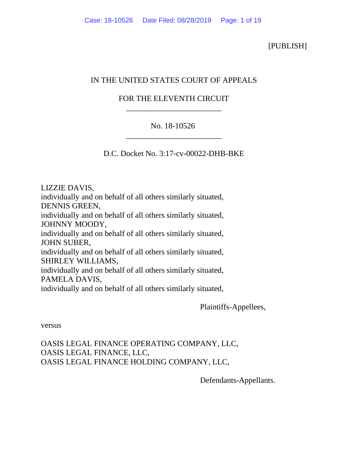[PUBLISH]

# IN THE UNITED STATES COURT OF APPEALS

## FOR THE ELEVENTH CIRCUIT \_\_\_\_\_\_\_\_\_\_\_\_\_\_\_\_\_\_\_\_\_\_\_\_

## No. 18-10526 \_\_\_\_\_\_\_\_\_\_\_\_\_\_\_\_\_\_\_\_\_\_\_\_

D.C. Docket No. 3:17-cv-00022-DHB-BKE

LIZZIE DAVIS, individually and on behalf of all others similarly situated, DENNIS GREEN, individually and on behalf of all others similarly situated, JOHNNY MOODY, individually and on behalf of all others similarly situated, JOHN SUBER, individually and on behalf of all others similarly situated, SHIRLEY WILLIAMS, individually and on behalf of all others similarly situated, PAMELA DAVIS, individually and on behalf of all others similarly situated,

Plaintiffs-Appellees,

versus

OASIS LEGAL FINANCE OPERATING COMPANY, LLC, OASIS LEGAL FINANCE, LLC, OASIS LEGAL FINANCE HOLDING COMPANY, LLC,

Defendants-Appellants.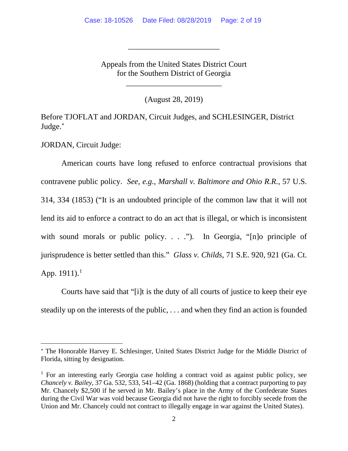Appeals from the United States District Court for the Southern District of Georgia

\_\_\_\_\_\_\_\_\_\_\_\_\_\_\_\_\_\_\_\_\_\_\_\_

\_\_\_\_\_\_\_\_\_\_\_\_\_\_\_\_\_\_\_\_\_\_\_

(August 28, 2019)

Before TJOFLAT and JORDAN, Circuit Judges, and SCHLESINGER, District Judge. [∗](#page-1-0)

JORDAN, Circuit Judge:

American courts have long refused to enforce contractual provisions that contravene public policy. *See, e.g.*, *Marshall v. Baltimore and Ohio R.R.*, 57 U.S. 314, 334 (1853) ("It is an undoubted principle of the common law that it will not lend its aid to enforce a contract to do an act that is illegal, or which is inconsistent with sound morals or public policy. . . ."). In Georgia, "[n]o principle of jurisprudence is better settled than this." *Glass v. Childs*, 71 S.E. 920, 921 (Ga. Ct. App. [1](#page-1-1)911).<sup>1</sup>

Courts have said that "[i]t is the duty of all courts of justice to keep their eye steadily up on the interests of the public, . . . and when they find an action is founded

<span id="page-1-0"></span><sup>∗</sup> The Honorable Harvey E. Schlesinger, United States District Judge for the Middle District of Florida, sitting by designation.

<span id="page-1-1"></span><sup>&</sup>lt;sup>1</sup> For an interesting early Georgia case holding a contract void as against public policy, see *Chancely v. Bailey*, 37 Ga. 532, 533, 541–42 (Ga. 1868) (holding that a contract purporting to pay Mr. Chancely \$2,500 if he served in Mr. Bailey's place in the Army of the Confederate States during the Civil War was void because Georgia did not have the right to forcibly secede from the Union and Mr. Chancely could not contract to illegally engage in war against the United States).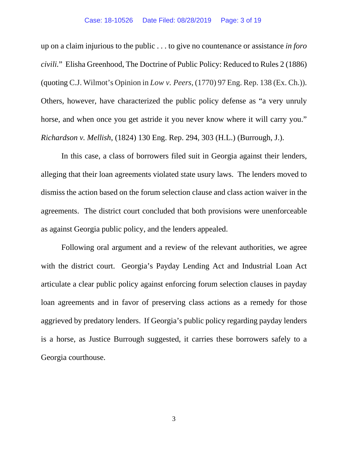#### Case: 18-10526 Date Filed: 08/28/2019 Page: 3 of 19

up on a claim injurious to the public . . . to give no countenance or assistance *in foro civili.*" Elisha Greenhood, The Doctrine of Public Policy: Reduced to Rules 2 (1886) (quoting C.J. Wilmot's Opinion in *Low v. Peers*, (1770) 97 Eng. Rep. 138 (Ex. Ch.)). Others, however, have characterized the public policy defense as "a very unruly horse, and when once you get astride it you never know where it will carry you." *Richardson v. Mellish*, (1824) 130 Eng. Rep. 294, 303 (H.L.) (Burrough, J.).

In this case, a class of borrowers filed suit in Georgia against their lenders, alleging that their loan agreements violated state usury laws. The lenders moved to dismiss the action based on the forum selection clause and class action waiver in the agreements. The district court concluded that both provisions were unenforceable as against Georgia public policy, and the lenders appealed.

Following oral argument and a review of the relevant authorities, we agree with the district court. Georgia's Payday Lending Act and Industrial Loan Act articulate a clear public policy against enforcing forum selection clauses in payday loan agreements and in favor of preserving class actions as a remedy for those aggrieved by predatory lenders. If Georgia's public policy regarding payday lenders is a horse, as Justice Burrough suggested, it carries these borrowers safely to a Georgia courthouse.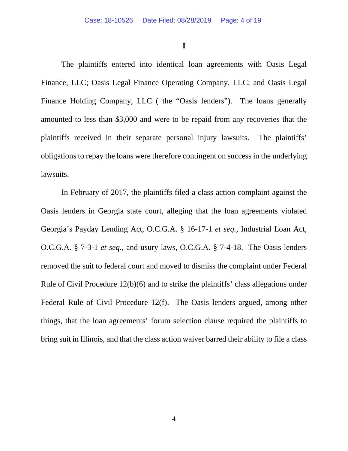**I**

The plaintiffs entered into identical loan agreements with Oasis Legal Finance, LLC; Oasis Legal Finance Operating Company, LLC; and Oasis Legal Finance Holding Company, LLC ( the "Oasis lenders"). The loans generally amounted to less than \$3,000 and were to be repaid from any recoveries that the plaintiffs received in their separate personal injury lawsuits. The plaintiffs' obligations to repay the loans were therefore contingent on success in the underlying lawsuits.

In February of 2017, the plaintiffs filed a class action complaint against the Oasis lenders in Georgia state court, alleging that the loan agreements violated Georgia's Payday Lending Act, O.C.G.A. § 16-17-1 *et seq.*, Industrial Loan Act, O.C.G.A. § 7-3-1 *et seq.*, and usury laws, O.C.G.A. § 7-4-18. The Oasis lenders removed the suit to federal court and moved to dismiss the complaint under Federal Rule of Civil Procedure 12(b)(6) and to strike the plaintiffs' class allegations under Federal Rule of Civil Procedure 12(f). The Oasis lenders argued, among other things, that the loan agreements' forum selection clause required the plaintiffs to bring suit in Illinois, and that the class action waiver barred their ability to file a class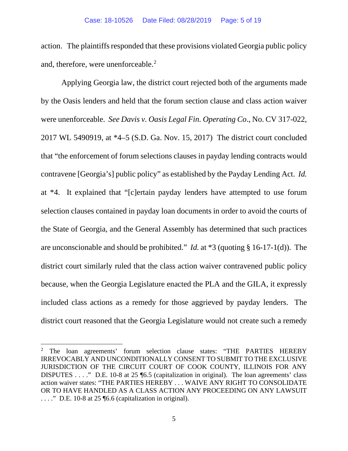action. The plaintiffs responded that these provisions violated Georgia public policy and, therefore, were unenforceable. [2](#page-4-0)

Applying Georgia law, the district court rejected both of the arguments made by the Oasis lenders and held that the forum section clause and class action waiver were unenforceable. *See Davis v. Oasis Legal Fin. Operating Co*., No. CV 317-022, 2017 WL 5490919, at \*4–5 (S.D. Ga. Nov. 15, 2017) The district court concluded that "the enforcement of forum selections clauses in payday lending contracts would contravene [Georgia's] public policy" as established by the Payday Lending Act. *Id.*  at \*4. It explained that "[c]ertain payday lenders have attempted to use forum selection clauses contained in payday loan documents in order to avoid the courts of the State of Georgia, and the General Assembly has determined that such practices are unconscionable and should be prohibited." *Id.* at \*3 (quoting § 16-17-1(d)). The district court similarly ruled that the class action waiver contravened public policy because, when the Georgia Legislature enacted the PLA and the GILA, it expressly included class actions as a remedy for those aggrieved by payday lenders. The district court reasoned that the Georgia Legislature would not create such a remedy

<span id="page-4-0"></span><sup>&</sup>lt;sup>2</sup> The loan agreements' forum selection clause states: "THE PARTIES HEREBY IRREVOCABLY AND UNCONDITIONALLY CONSENT TO SUBMIT TO THE EXCLUSIVE JURISDICTION OF THE CIRCUIT COURT OF COOK COUNTY, ILLINOIS FOR ANY DISPUTES . . . ." D.E. 10-8 at 25 ¶6.5 (capitalization in original). The loan agreements' class action waiver states: "THE PARTIES HEREBY . . . WAIVE ANY RIGHT TO CONSOLIDATE OR TO HAVE HANDLED AS A CLASS ACTION ANY PROCEEDING ON ANY LAWSUIT  $\ldots$ ." D.E. 10-8 at 25 [6.6 (capitalization in original).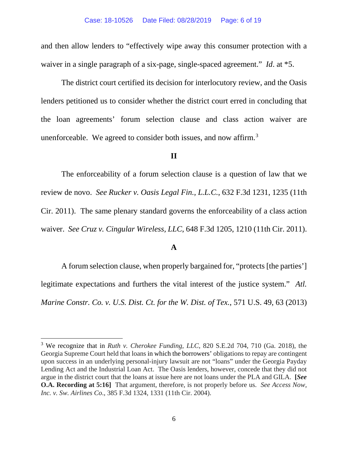and then allow lenders to "effectively wipe away this consumer protection with a waiver in a single paragraph of a six-page, single-spaced agreement." *Id*. at \*5.

The district court certified its decision for interlocutory review, and the Oasis lenders petitioned us to consider whether the district court erred in concluding that the loan agreements' forum selection clause and class action waiver are unenforceable. We agreed to consider both issues, and now affirm.<sup>[3](#page-5-0)</sup>

### **II**

The enforceability of a forum selection clause is a question of law that we review de novo. *See Rucker v. Oasis Legal Fin., L.L.C.*, 632 F.3d 1231, 1235 (11th Cir. 2011). The same plenary standard governs the enforceability of a class action waiver. *See Cruz v. Cingular Wireless, LLC*, 648 F.3d 1205, 1210 (11th Cir. 2011).

### **A**

A forum selection clause, when properly bargained for, "protects [the parties'] legitimate expectations and furthers the vital interest of the justice system." *Atl. Marine Constr. Co. v. U.S. Dist. Ct. for the W. Dist. of Tex.*, 571 U.S. 49, 63 (2013)

<span id="page-5-0"></span><sup>3</sup> We recognize that in *Ruth v. Cherokee Funding, LLC*, 820 S.E.2d 704, 710 (Ga. 2018), the Georgia Supreme Court held that loans in which the borrowers' obligations to repay are contingent upon success in an underlying personal-injury lawsuit are not "loans" under the Georgia Payday Lending Act and the Industrial Loan Act. The Oasis lenders, however, concede that they did not argue in the district court that the loans at issue here are not loans under the PLA and GILA. **[***See*  **O.A. Recording at 5:16]** That argument, therefore, is not properly before us. *See Access Now, Inc. v. Sw. Airlines Co*., 385 F.3d 1324, 1331 (11th Cir. 2004).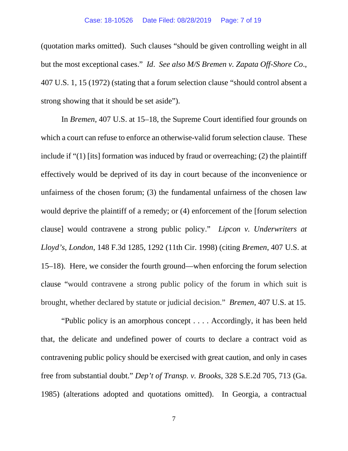(quotation marks omitted). Such clauses "should be given controlling weight in all but the most exceptional cases." *Id*. *See also M/S Bremen v. Zapata Off-Shore Co*., 407 U.S. 1, 15 (1972) (stating that a forum selection clause "should control absent a strong showing that it should be set aside").

In *Bremen*, 407 U.S. at 15–18, the Supreme Court identified four grounds on which a court can refuse to enforce an otherwise-valid forum selection clause. These include if "(1) [its] formation was induced by fraud or overreaching; (2) the plaintiff effectively would be deprived of its day in court because of the inconvenience or unfairness of the chosen forum; (3) the fundamental unfairness of the chosen law would deprive the plaintiff of a remedy; or (4) enforcement of the [forum selection clause] would contravene a strong public policy." *Lipcon v. Underwriters at Lloyd's, London*, 148 F.3d 1285, 1292 (11th Cir. 1998) (citing *Bremen*, 407 U.S. at 15–18). Here, we consider the fourth ground—when enforcing the forum selection clause "would contravene a strong public policy of the forum in which suit is brought, whether declared by statute or judicial decision." *Bremen*, 407 U.S. at 15.

"Public policy is an amorphous concept . . . . Accordingly, it has been held that, the delicate and undefined power of courts to declare a contract void as contravening public policy should be exercised with great caution, and only in cases free from substantial doubt." *Dep't of Transp. v. Brooks*, 328 S.E.2d 705, 713 (Ga. 1985) (alterations adopted and quotations omitted). In Georgia, a contractual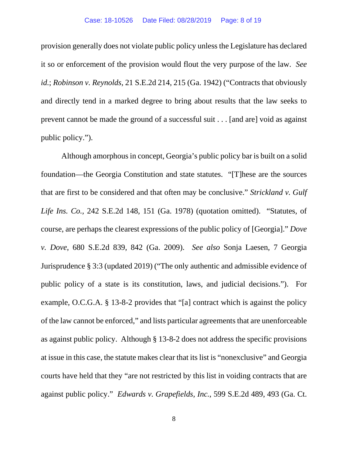provision generally does not violate public policy unless the Legislature has declared it so or enforcement of the provision would flout the very purpose of the law. *See id.*; *Robinson v. Reynolds*, 21 S.E.2d 214, 215 (Ga. 1942) ("Contracts that obviously and directly tend in a marked degree to bring about results that the law seeks to prevent cannot be made the ground of a successful suit . . . [and are] void as against public policy.").

Although amorphous in concept, Georgia's public policy bar is built on a solid foundation—the Georgia Constitution and state statutes. "[T]hese are the sources that are first to be considered and that often may be conclusive." *Strickland v. Gulf Life Ins. Co.,* 242 S.E.2d 148, 151 (Ga. 1978) (quotation omitted). "Statutes, of course, are perhaps the clearest expressions of the public policy of [Georgia]." *Dove v. Dove*, 680 S.E.2d 839, 842 (Ga. 2009). *See also* Sonja Laesen, 7 Georgia Jurisprudence § 3:3 (updated 2019) ("The only authentic and admissible evidence of public policy of a state is its constitution, laws, and judicial decisions."). For example, O.C.G.A. § 13-8-2 provides that "[a] contract which is against the policy of the law cannot be enforced," and lists particular agreements that are unenforceable as against public policy. Although § 13-8-2 does not address the specific provisions at issue in this case, the statute makes clear that its list is "nonexclusive" and Georgia courts have held that they "are not restricted by this list in voiding contracts that are against public policy." *Edwards v. Grapefields, Inc.*, 599 S.E.2d 489, 493 (Ga. Ct.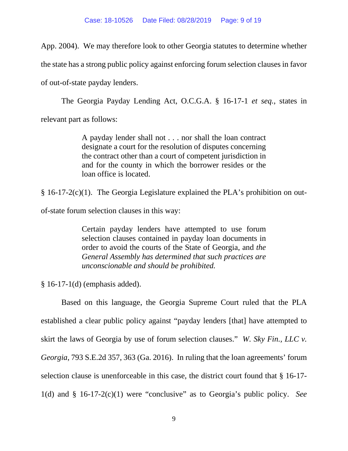App. 2004). We may therefore look to other Georgia statutes to determine whether the state has a strong public policy against enforcing forum selection clauses in favor of out-of-state payday lenders.

The Georgia Payday Lending Act, O.C.G.A. § 16-17-1 *et seq.*, states in relevant part as follows:

> A payday lender shall not . . . nor shall the loan contract designate a court for the resolution of disputes concerning the contract other than a court of competent jurisdiction in and for the county in which the borrower resides or the loan office is located.

§ 16-17-2(c)(1). The Georgia Legislature explained the PLA's prohibition on out-

of-state forum selection clauses in this way:

Certain payday lenders have attempted to use forum selection clauses contained in payday loan documents in order to avoid the courts of the State of Georgia, and *the General Assembly has determined that such practices are unconscionable and should be prohibited.*

§ 16-17-1(d) (emphasis added).

Based on this language, the Georgia Supreme Court ruled that the PLA established a clear public policy against "payday lenders [that] have attempted to skirt the laws of Georgia by use of forum selection clauses." *W. Sky Fin., LLC v. Georgia*, 793 S.E.2d 357, 363 (Ga. 2016). In ruling that the loan agreements' forum selection clause is unenforceable in this case, the district court found that § 16-17- 1(d) and § 16-17-2(c)(1) were "conclusive" as to Georgia's public policy. *See*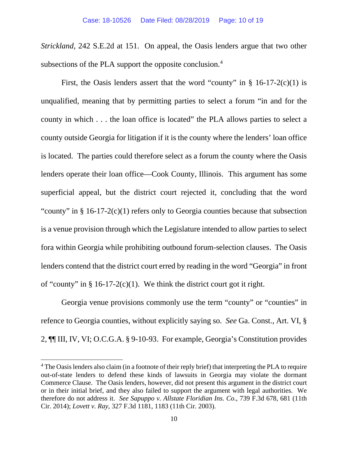*Strickland,* 242 S.E.2d at 151. On appeal, the Oasis lenders argue that two other subsections of the PLA support the opposite conclusion.<sup>4</sup>

First, the Oasis lenders assert that the word "county" in  $\S$  16-17-2(c)(1) is unqualified, meaning that by permitting parties to select a forum "in and for the county in which . . . the loan office is located" the PLA allows parties to select a county outside Georgia for litigation if it is the county where the lenders' loan office is located. The parties could therefore select as a forum the county where the Oasis lenders operate their loan office—Cook County, Illinois. This argument has some superficial appeal, but the district court rejected it, concluding that the word "county" in § 16-17-2(c)(1) refers only to Georgia counties because that subsection is a venue provision through which the Legislature intended to allow parties to select fora within Georgia while prohibiting outbound forum-selection clauses. The Oasis lenders contend that the district court erred by reading in the word "Georgia" in front of "county" in  $\S$  16-17-2(c)(1). We think the district court got it right.

Georgia venue provisions commonly use the term "county" or "counties" in refence to Georgia counties, without explicitly saying so. *See* Ga. Const., Art. VI, § 2, ¶¶ III, IV, VI; O.C.G.A. § 9-10-93. For example, Georgia's Constitution provides

<span id="page-9-0"></span> $4$  The Oasis lenders also claim (in a footnote of their reply brief) that interpreting the PLA to require out-of-state lenders to defend these kinds of lawsuits in Georgia may violate the dormant Commerce Clause. The Oasis lenders, however, did not present this argument in the district court or in their initial brief, and they also failed to support the argument with legal authorities. We therefore do not address it. *See Sapuppo v. Allstate Floridian Ins. Co*., 739 F.3d 678, 681 (11th Cir. 2014); *Lovett v. Ray*, 327 F.3d 1181, 1183 (11th Cir. 2003).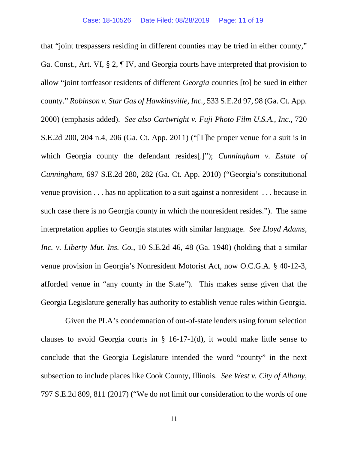that "joint trespassers residing in different counties may be tried in either county," Ga. Const., Art. VI, § 2, ¶ IV, and Georgia courts have interpreted that provision to allow "joint tortfeasor residents of different *Georgia* counties [to] be sued in either county." *Robinson v. Star Gas of Hawkinsville, Inc.*, 533 S.E.2d 97, 98 (Ga. Ct. App. 2000) (emphasis added). *See also Cartwright v. Fuji Photo Film U.S.A., Inc.*, 720 S.E.2d 200, 204 n.4, 206 (Ga. Ct. App. 2011) ("[T]he proper venue for a suit is in which Georgia county the defendant resides[.]"); *Cunningham v. Estate of Cunningham*, 697 S.E.2d 280, 282 (Ga. Ct. App. 2010) ("Georgia's constitutional venue provision . . . has no application to a suit against a nonresident . . . because in such case there is no Georgia county in which the nonresident resides."). The same interpretation applies to Georgia statutes with similar language. *See Lloyd Adams, Inc. v. Liberty Mut. Ins. Co.*, 10 S.E.2d 46, 48 (Ga. 1940) (holding that a similar venue provision in Georgia's Nonresident Motorist Act, now O.C.G.A. § 40-12-3, afforded venue in "any county in the State"). This makes sense given that the Georgia Legislature generally has authority to establish venue rules within Georgia.

 Given the PLA's condemnation of out-of-state lenders using forum selection clauses to avoid Georgia courts in § 16-17-1(d), it would make little sense to conclude that the Georgia Legislature intended the word "county" in the next subsection to include places like Cook County, Illinois. *See West v. City of Albany*, 797 S.E.2d 809, 811 (2017) ("We do not limit our consideration to the words of one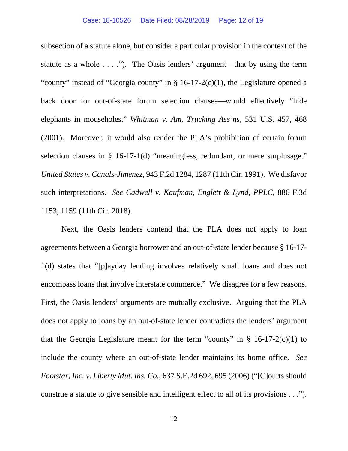subsection of a statute alone, but consider a particular provision in the context of the statute as a whole  $\dots$ ."). The Oasis lenders' argument—that by using the term "county" instead of "Georgia county" in  $\S$  16-17-2(c)(1), the Legislature opened a back door for out-of-state forum selection clauses—would effectively "hide elephants in mouseholes." *Whitman v. Am. Trucking Ass'ns*, 531 U.S. 457, 468 (2001). Moreover, it would also render the PLA's prohibition of certain forum selection clauses in § 16-17-1(d) "meaningless, redundant, or mere surplusage." *United States v. Canals-Jimenez*, 943 F.2d 1284, 1287 (11th Cir. 1991). We disfavor such interpretations. *See Cadwell v. Kaufman, Englett & Lynd, PPLC*, 886 F.3d 1153, 1159 (11th Cir. 2018).

Next, the Oasis lenders contend that the PLA does not apply to loan agreements between a Georgia borrower and an out-of-state lender because § 16-17- 1(d) states that "[p]ayday lending involves relatively small loans and does not encompass loans that involve interstate commerce." We disagree for a few reasons. First, the Oasis lenders' arguments are mutually exclusive. Arguing that the PLA does not apply to loans by an out-of-state lender contradicts the lenders' argument that the Georgia Legislature meant for the term "county" in  $\S$  16-17-2(c)(1) to include the county where an out-of-state lender maintains its home office. *See Footstar, Inc. v. Liberty Mut. Ins. Co.*, 637 S.E.2d 692, 695 (2006) ("[C]ourts should construe a statute to give sensible and intelligent effect to all of its provisions . . .").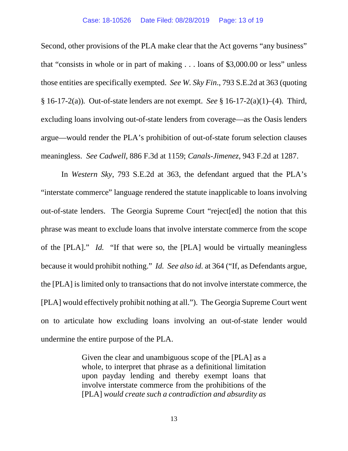Second, other provisions of the PLA make clear that the Act governs "any business" that "consists in whole or in part of making . . . loans of \$3,000.00 or less" unless those entities are specifically exempted. *See W. Sky Fin*., 793 S.E.2d at 363 (quoting § 16-17-2(a))*.* Out-of-state lenders are not exempt. *See* § 16-17-2(a)(1)–(4)*.* Third, excluding loans involving out-of-state lenders from coverage—as the Oasis lenders argue—would render the PLA's prohibition of out-of-state forum selection clauses meaningless. *See Cadwell*, 886 F.3d at 1159; *Canals-Jimenez*, 943 F.2d at 1287.

In *Western Sky*, 793 S.E.2d at 363, the defendant argued that the PLA's "interstate commerce" language rendered the statute inapplicable to loans involving out-of-state lenders. The Georgia Supreme Court "reject[ed] the notion that this phrase was meant to exclude loans that involve interstate commerce from the scope of the [PLA]." *Id.* "If that were so, the [PLA] would be virtually meaningless because it would prohibit nothing." *Id. See also id.* at 364 ("If, as Defendants argue, the [PLA] is limited only to transactions that do not involve interstate commerce, the [PLA] would effectively prohibit nothing at all."). The Georgia Supreme Court went on to articulate how excluding loans involving an out-of-state lender would undermine the entire purpose of the PLA.

> Given the clear and unambiguous scope of the [PLA] as a whole, to interpret that phrase as a definitional limitation upon payday lending and thereby exempt loans that involve interstate commerce from the prohibitions of the [PLA] *would create such a contradiction and absurdity as*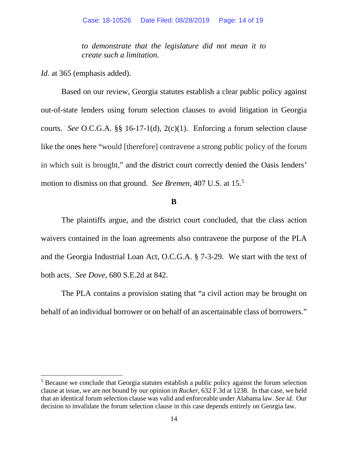*to demonstrate that the legislature did not mean it to create such a limitation.*

*Id.* at 365 (emphasis added).

Based on our review, Georgia statutes establish a clear public policy against out-of-state lenders using forum selection clauses to avoid litigation in Georgia courts. *See* O.C.G.A. §§ 16-17-1(d), 2(c)(1). Enforcing a forum selection clause like the ones here "would [therefore] contravene a strong public policy of the forum in which suit is brought," and the district court correctly denied the Oasis lenders' motion to dismiss on that ground. *See Bremen*, 407 U.S. at 15.[5](#page-13-0)

### **B**

The plaintiffs argue, and the district court concluded, that the class action waivers contained in the loan agreements also contravene the purpose of the PLA and the Georgia Industrial Loan Act, O.C.G.A. § 7-3-29. We start with the text of both acts.*See Dove*, 680 S.E.2d at 842.

The PLA contains a provision stating that "a civil action may be brought on behalf of an individual borrower or on behalf of an ascertainable class of borrowers."

<span id="page-13-0"></span><sup>&</sup>lt;sup>5</sup> Because we conclude that Georgia statutes establish a public policy against the forum selection clause at issue, we are not bound by our opinion in *Rucker*, 632 F.3d at 1238. In that case, we held that an identical forum selection clause was valid and enforceable under Alabama law. *See id.* Our decision to invalidate the forum selection clause in this case depends entirely on Georgia law*.*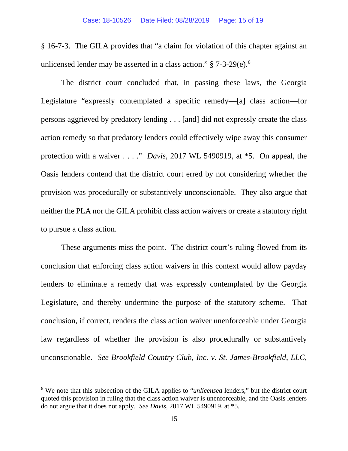§ 16-7-3. The GILA provides that "a claim for violation of this chapter against an unlicensed lender may be asserted in a class action."  $\S 7-3-29(e)$ .

The district court concluded that, in passing these laws, the Georgia Legislature "expressly contemplated a specific remedy—[a] class action—for persons aggrieved by predatory lending . . . [and] did not expressly create the class action remedy so that predatory lenders could effectively wipe away this consumer protection with a waiver . . . ." *Davis*, 2017 WL 5490919, at \*5. On appeal, the Oasis lenders contend that the district court erred by not considering whether the provision was procedurally or substantively unconscionable. They also argue that neither the PLA nor the GILA prohibit class action waivers or create a statutory right to pursue a class action.

These arguments miss the point. The district court's ruling flowed from its conclusion that enforcing class action waivers in this context would allow payday lenders to eliminate a remedy that was expressly contemplated by the Georgia Legislature, and thereby undermine the purpose of the statutory scheme. That conclusion, if correct, renders the class action waiver unenforceable under Georgia law regardless of whether the provision is also procedurally or substantively unconscionable. *See Brookfield Country Club, Inc. v. St. James-Brookfield, LLC*,

<span id="page-14-0"></span><sup>6</sup> We note that this subsection of the GILA applies to "*unlicensed* lenders," but the district court quoted this provision in ruling that the class action waiver is unenforceable, and the Oasis lenders do not argue that it does not apply. *See Davis*, 2017 WL 5490919, at \*5.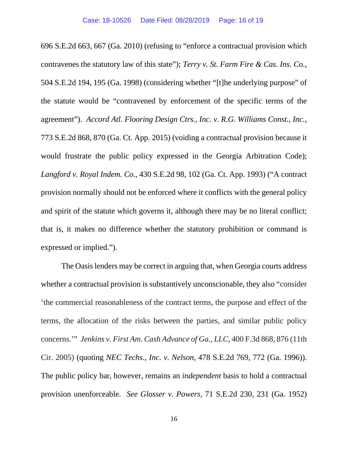696 S.E.2d 663, 667 (Ga. 2010) (refusing to "enforce a contractual provision which contravenes the statutory law of this state"); *Terry v. St. Farm Fire & Cas. Ins. Co*., 504 S.E.2d 194, 195 (Ga. 1998) (considering whether "[t]he underlying purpose" of the statute would be "contravened by enforcement of the specific terms of the agreement"). *Accord Atl. Flooring Design Ctrs., Inc. v. R.G. Williams Const., Inc.*, 773 S.E.2d 868, 870 (Ga. Ct. App. 2015) (voiding a contractual provision because it would frustrate the public policy expressed in the Georgia Arbitration Code); *Langford v. Royal Indem. Co*., 430 S.E.2d 98, 102 (Ga. Ct. App. 1993) ("A contract provision normally should not be enforced where it conflicts with the general policy and spirit of the statute which governs it, although there may be no literal conflict; that is, it makes no difference whether the statutory prohibition or command is expressed or implied.").

The Oasis lenders may be correct in arguing that, when Georgia courts address whether a contractual provision is substantively unconscionable, they also "consider 'the commercial reasonableness of the contract terms, the purpose and effect of the terms, the allocation of the risks between the parties, and similar public policy concerns.'" *Jenkins v. First Am. Cash Advance of Ga., LLC*, 400 F.3d 868, 876 (11th Cir. 2005) (quoting *NEC Techs., Inc. v. Nelson*, 478 S.E.2d 769, 772 (Ga. 1996)). The public policy bar, however, remains an *independent* basis to hold a contractual provision unenforceable. *See Glosser v. Powers*, 71 S.E.2d 230, 231 (Ga. 1952)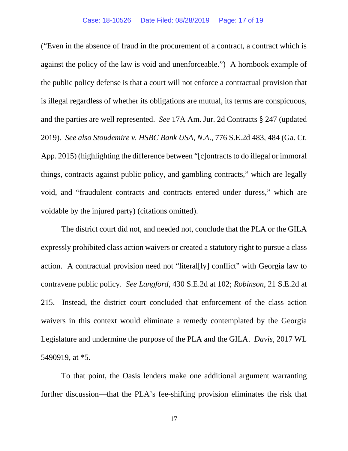("Even in the absence of fraud in the procurement of a contract, a contract which is against the policy of the law is void and unenforceable.") A hornbook example of the public policy defense is that a court will not enforce a contractual provision that is illegal regardless of whether its obligations are mutual, its terms are conspicuous, and the parties are well represented. *See* 17A Am. Jur. 2d Contracts § 247 (updated 2019). *See also Stoudemire v. HSBC Bank USA, N.A*., 776 S.E.2d 483, 484 (Ga. Ct. App. 2015) (highlighting the difference between "[c]ontracts to do illegal or immoral things, contracts against public policy, and gambling contracts," which are legally void, and "fraudulent contracts and contracts entered under duress," which are voidable by the injured party) (citations omitted).

The district court did not, and needed not, conclude that the PLA or the GILA expressly prohibited class action waivers or created a statutory right to pursue a class action. A contractual provision need not "literal[ly] conflict" with Georgia law to contravene public policy. *See Langford*, 430 S.E.2d at 102; *Robinson*, 21 S.E.2d at 215. Instead, the district court concluded that enforcement of the class action waivers in this context would eliminate a remedy contemplated by the Georgia Legislature and undermine the purpose of the PLA and the GILA. *Davis*, 2017 WL 5490919, at \*5.

To that point, the Oasis lenders make one additional argument warranting further discussion—that the PLA's fee-shifting provision eliminates the risk that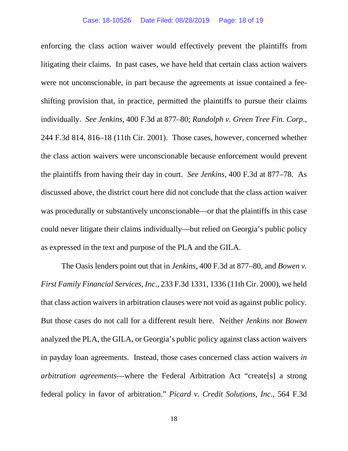enforcing the class action waiver would effectively prevent the plaintiffs from litigating their claims. In past cases, we have held that certain class action waivers were not unconscionable, in part because the agreements at issue contained a feeshifting provision that, in practice, permitted the plaintiffs to pursue their claims individually. *See Jenkins*, 400 F.3d at 877–80; *Randolph v. Green Tree Fin. Corp*., 244 F.3d 814, 816–18 (11th Cir. 2001). Those cases, however, concerned whether the class action waivers were unconscionable because enforcement would prevent the plaintiffs from having their day in court. *See Jenkins*, 400 F.3d at 877–78. As discussed above, the district court here did not conclude that the class action waiver was procedurally or substantively unconscionable—or that the plaintiffs in this case could never litigate their claims individually—but relied on Georgia's public policy as expressed in the text and purpose of the PLA and the GILA.

The Oasis lenders point out that in *Jenkins*, 400 F.3d at 877–80, and *Bowen v. First Family Financial Services, Inc*., 233 F.3d 1331, 1336 (11th Cir. 2000), we held that class action waivers in arbitration clauses were not void as against public policy. But those cases do not call for a different result here. Neither *Jenkins* nor *Bowen* analyzed the PLA, the GILA, or Georgia's public policy against class action waivers in payday loan agreements. Instead, those cases concerned class action waivers *in arbitration agreements*—where the Federal Arbitration Act "create[s] a strong federal policy in favor of arbitration." *Picard v. Credit Solutions, Inc*., 564 F.3d